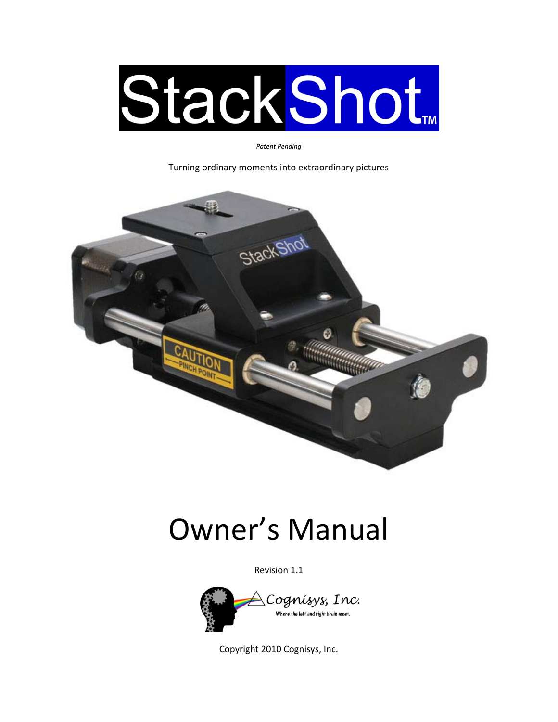

*Patent Pending*

Turning ordinary moments into extraordinary pictures



# Owner's Manual

Revision 1.1



Copyright 2010 Cognisys, Inc.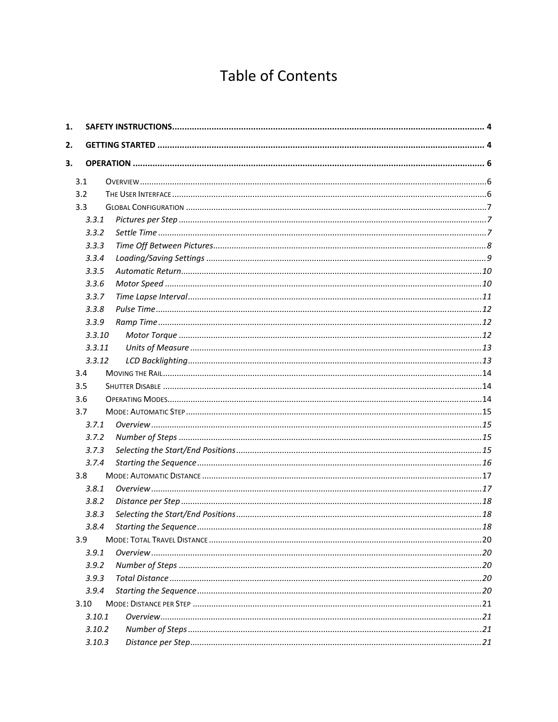## **Table of Contents**

| 1. |            |     |
|----|------------|-----|
| 2. |            |     |
| 3. |            |     |
|    |            |     |
|    | 3.1<br>3.2 |     |
|    | 3.3        |     |
|    | 3.3.1      |     |
|    | 3.3.2      |     |
|    | 3.3.3      |     |
|    | 3.3.4      |     |
|    | 3.3.5      |     |
|    | 3.3.6      |     |
|    | 3.3.7      |     |
|    | 3.3.8      |     |
|    | 3.3.9      |     |
|    | 3.3.10     |     |
|    | 3.3.11     |     |
|    | 3.3.12     |     |
|    | 3.4        |     |
|    | 3.5        |     |
|    | 3.6        |     |
|    | 3.7        |     |
|    | 3.7.1      |     |
|    | 3.7.2      |     |
|    | 3.7.3      |     |
|    | 3.7.4      |     |
|    | 3.8        |     |
|    | 3.8.1      |     |
|    | 3.8.2      |     |
|    | 3.8.3      |     |
|    | 3.8.4      | .18 |
|    | 3.9        |     |
|    | 3.9.1      |     |
|    | 3.9.2      |     |
|    | 3.9.3      |     |
|    | 3.9.4      |     |
|    | 3.10       |     |
|    | 3.10.1     |     |
|    | 3.10.2     |     |
|    | 3.10.3     |     |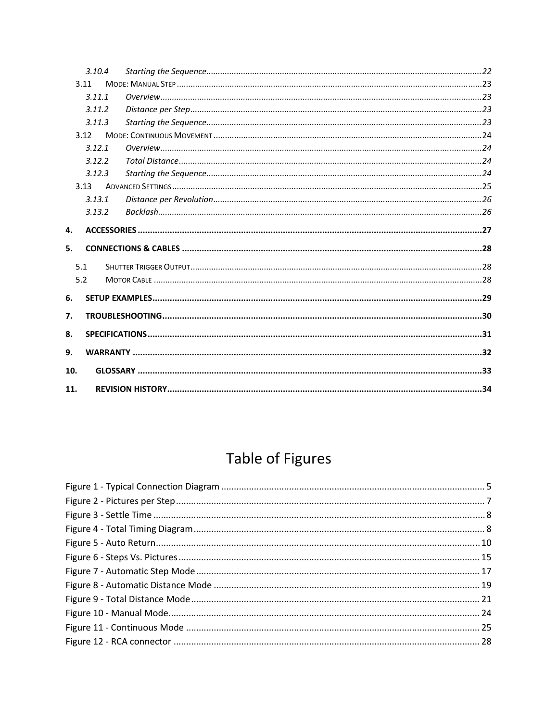|     | 3.10.4 |  |
|-----|--------|--|
|     | 3.11   |  |
|     | 3.11.1 |  |
|     | 3.11.2 |  |
|     | 3.11.3 |  |
|     | 3.12   |  |
|     | 3.12.1 |  |
|     | 3.12.2 |  |
|     | 3.12.3 |  |
|     | 3.13   |  |
|     | 3.13.1 |  |
|     | 3.13.2 |  |
| 4.  |        |  |
| 5.  |        |  |
|     | 5.1    |  |
|     | 5.2    |  |
| 6.  |        |  |
| 7.  |        |  |
| 8.  |        |  |
| 9.  |        |  |
| 10. |        |  |
| 11. |        |  |

## Table of Figures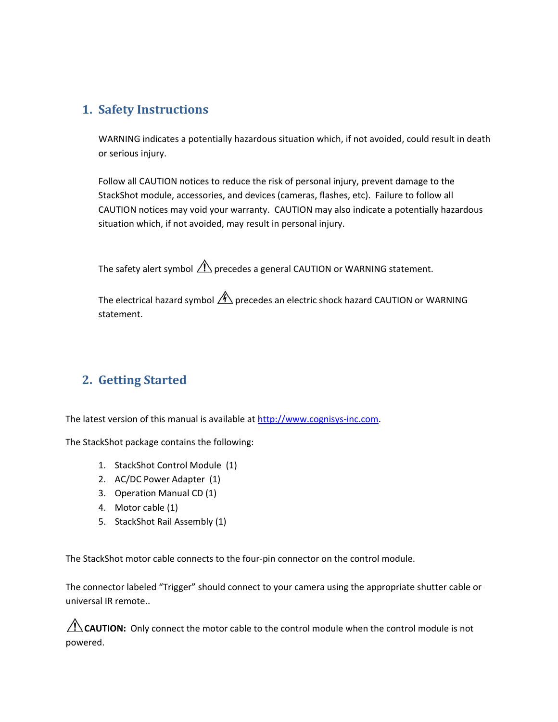## <span id="page-3-0"></span>**1. Safety Instructions**

WARNING indicates a potentially hazardous situation which, if not avoided, could result in death or serious injury.

Follow all CAUTION notices to reduce the risk of personal injury, prevent damage to the StackShot module, accessories, and devices (cameras, flashes, etc). Failure to follow all CAUTION notices may void your warranty. CAUTION may also indicate a potentially hazardous situation which, if not avoided, may result in personal injury.

The safety alert symbol  $\bigwedge$  precedes a general CAUTION or WARNING statement.

The electrical hazard symbol  $\mathcal{A}$  precedes an electric shock hazard CAUTION or WARNING statement.

## **2. Getting Started**

The latest version of this manual is available at [http://www.cognisys](http://www.cognisys-inc.com/)‐inc.com.

The StackShot package contains the following:

- 1. StackShot Control Module (1)
- 2. AC/DC Power Adapter (1)
- 3. Operation Manual CD (1)
- 4. Motor cable (1)
- 5. StackShot Rail Assembly (1)

The StackShot motor cable connects to the four‐pin connector on the control module.

The connector labeled "Trigger" should connect to your camera using the appropriate shutter cable or universal IR remote..

**CAUTION:** Only connect the motor cable to the control module when the control module is not powered.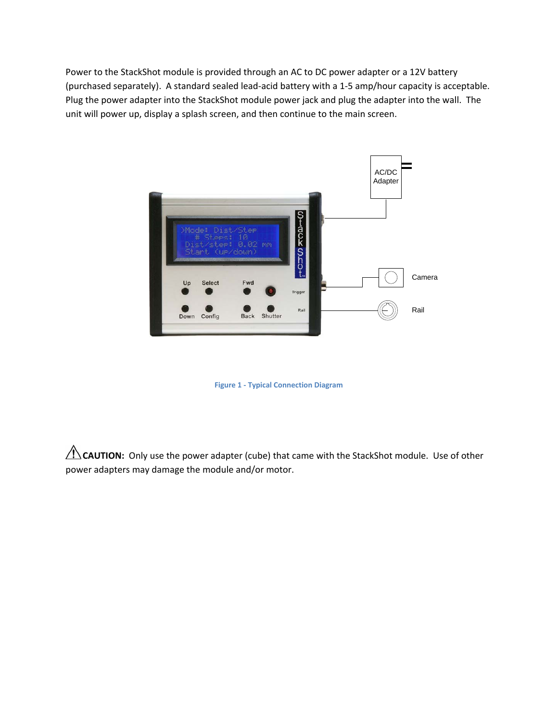<span id="page-4-0"></span>Power to the StackShot module is provided through an AC to DC power adapter or a 12V battery (purchased separately). A standard sealed lead‐acid battery with a 1‐5 amp/hour capacity is acceptable. Plug the power adapter into the StackShot module power jack and plug the adapter into the wall. The unit will power up, display a splash screen, and then continue to the main screen.



**Figure 1 ‐ Typical Connection Diagram**

CAUTION: Only use the power adapter (cube) that came with the StackShot module. Use of other power adapters may damage the module and/or motor.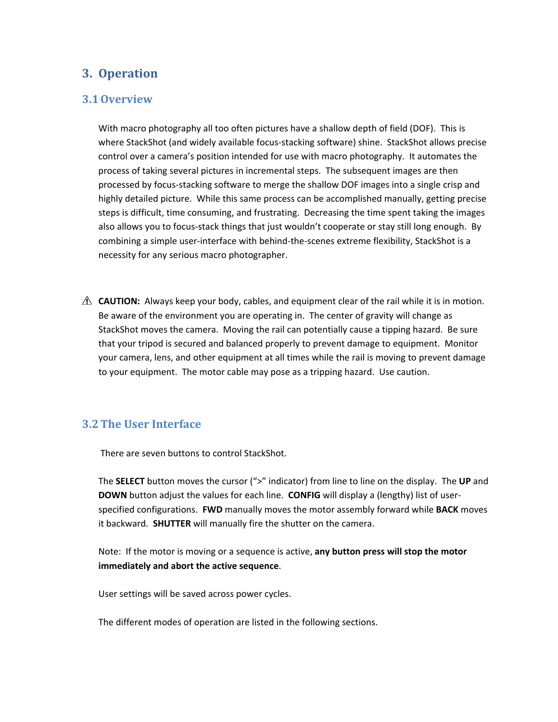## <span id="page-5-0"></span>**3. Operation**

### **3.1Overview**

With macro photography all too often pictures have a shallow depth of field (DOF). This is where StackShot (and widely available focus-stacking software) shine. StackShot allows precise control over a camera's position intended for use with macro photography. It automates the process of taking several pictures in incremental steps. The subsequent images are then processed by focus‐stacking software to merge the shallow DOF images into a single crisp and highly detailed picture. While this same process can be accomplished manually, getting precise steps is difficult, time consuming, and frustrating. Decreasing the time spent taking the images also allows you to focus‐stack things that just wouldn't cooperate or stay still long enough. By combining a simple user-interface with behind-the-scenes extreme flexibility, StackShot is a necessity for any serious macro photographer.

 $\triangle$  **CAUTION:** Always keep your body, cables, and equipment clear of the rail while it is in motion. Be aware of the environment you are operating in. The center of gravity will change as StackShot moves the camera. Moving the rail can potentially cause a tipping hazard. Be sure that your tripod is secured and balanced properly to prevent damage to equipment. Monitor your camera, lens, and other equipment at all times while the rail is moving to prevent damage to your equipment. The motor cable may pose as a tripping hazard. Use caution.

## **3.2The User Interface**

There are seven buttons to control StackShot.

The **SELECT** button moves the cursor (">" indicator) from line to line on the display. The **UP** and **DOWN** button adjust the values for each line. **CONFIG** will display a (lengthy) list of user‐ specified configurations. **FWD** manually moves the motor assembly forward while **BACK** moves it backward. **SHUTTER** will manually fire the shutter on the camera.

Note: If the motor is moving or a sequence is active, **any button press will stop the motor immediately and abort the active sequence**.

User settings will be saved across power cycles.

The different modes of operation are listed in the following sections.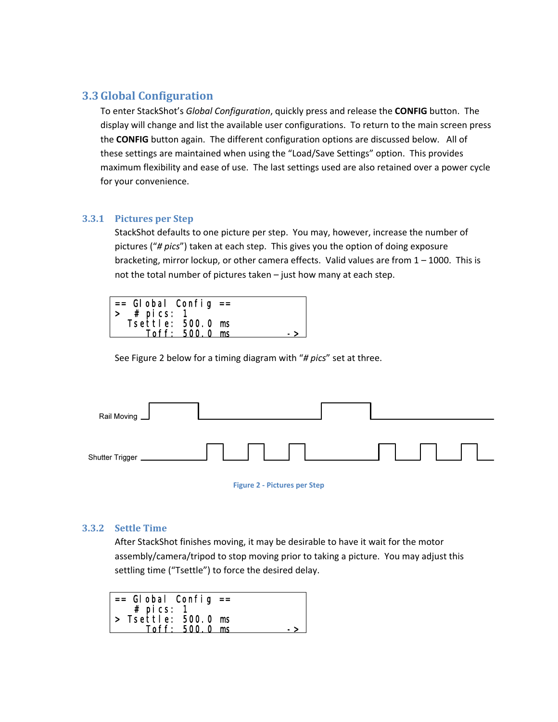## <span id="page-6-2"></span><span id="page-6-0"></span>**3.3Global Configuration**

To enter StackShot's *Global Configuration*, quickly press and release the **CONFIG** button. The display will change and list the available user configurations. To return to the main screen press the **CONFIG** button again. The different configuration options are discussed below. All of these settings are maintained when using the "Load/Save Settings" option. This provides maximum flexibility and ease of use. The last settings used are also retained over a power cycle for your convenience.

#### **3.3.1 Pictures per Step**

StackShot defaults to one picture per step. You may, however, increase the number of pictures ("*# pics*") taken at each step. This gives you the option of doing exposure bracketing, mirror lockup, or other camera effects. Valid values are from 1 – 1000. This is not the total number of pictures taken – just how many at each step.

| $\vert$ == Global Config == |  |
|-----------------------------|--|
| $#$ pi cs:                  |  |
| Tsettle: 500.0 ms           |  |
| $T$ off: 500.0 ms           |  |

See [Figure](#page-6-1) 2 below for a timing diagram with "*# pics*" set at three.

| Rail Moving     |  |  |
|-----------------|--|--|
| Shutter Trigger |  |  |

**Figure 2 ‐ Pictures per Step**

#### <span id="page-6-1"></span>**3.3.2 Settle Time**

After StackShot finishes moving, it may be desirable to have it wait for the motor assembly/camera/tripod to stop moving prior to taking a picture. You may adjust this settling time ("Tsettle") to force the desired delay.

| $==$ Global Config $==$     |  |
|-----------------------------|--|
| $#$ pics: 1                 |  |
| $\vert$ > Tsettle: 500.0 ms |  |
| Toff: 500.0 ms              |  |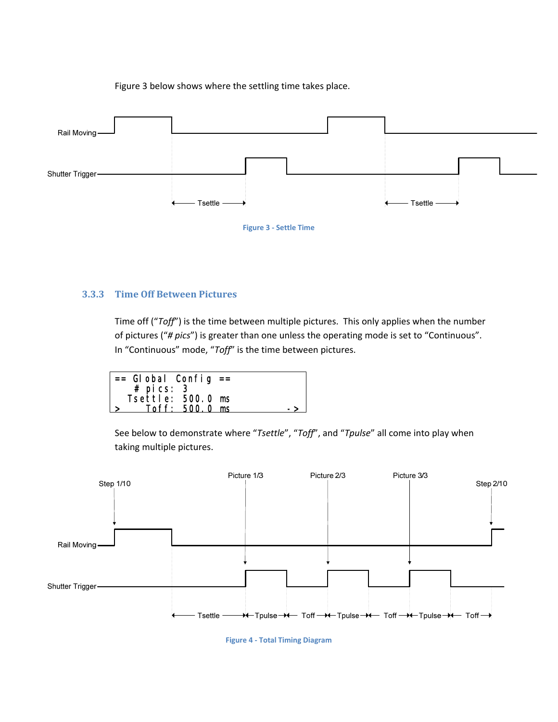[Figure](#page-7-1) 3 below shows where the settling time takes place.

<span id="page-7-0"></span>

**Figure 3 ‐ Settle Time**

#### <span id="page-7-1"></span>**3.3.3 Time Off Between Pictures**

Time off ("*Toff*") is the time between multiple pictures. This only applies when the number of pictures ("*# pics*") is greater than one unless the operating mode is set to "Continuous". In "Continuous" mode, "*Toff*" is the time between pictures.

| $=$ Global Config $=$ |  |
|-----------------------|--|
| $#$ pics: 3           |  |
| Tsettle: 500.0 ms     |  |
| Toff: 500.0 ms        |  |

See below to demonstrate where "*Tsettle*", "*Toff*", and "*Tpulse*" all come into play when taking multiple pictures.

<span id="page-7-2"></span>

**Figure 4 ‐ Total Timing Diagram**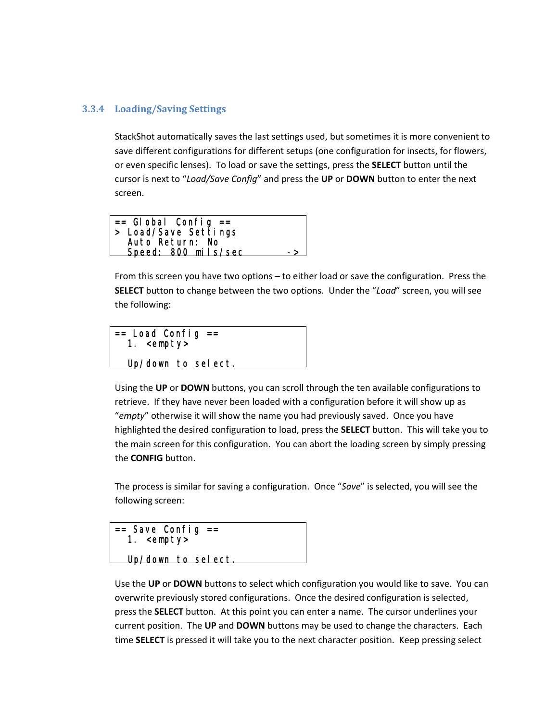#### <span id="page-8-0"></span>**3.3.4 Loading/Saving Settings**

StackShot automatically saves the last settings used, but sometimes it is more convenient to save different configurations for different setups (one configuration for insects, for flowers, or even specific lenses). To load or save the settings, press the **SELECT** button until the cursor is next to "*Load/Save Config*" and press the **UP** or **DOWN** button to enter the next screen.

 $==$  Global Config  $==$ > Load/Save Settings Auto Return: No Speed: 800 mils/sec ->

From this screen you have two options – to either load or save the configuration. Press the **SELECT** button to change between the two options. Under the "*Load*" screen, you will see the following:

 $==$  Load Config  $==$  1. <empty> Up/down to select.

Using the **UP** or **DOWN** buttons, you can scroll through the ten available configurations to retrieve. If they have never been loaded with a configuration before it will show up as "*empty*" otherwise it will show the name you had previously saved. Once you have highlighted the desired configuration to load, press the **SELECT** button. This will take you to the main screen for this configuration. You can abort the loading screen by simply pressing the **CONFIG** button.

The process is similar for saving a configuration. Once "*Save*" is selected, you will see the following screen:



Use the **UP** or **DOWN** buttons to select which configuration you would like to save. You can overwrite previously stored configurations. Once the desired configuration is selected, press the **SELECT** button. At this point you can enter a name. The cursor underlines your current position. The **UP** and **DOWN** buttons may be used to change the characters. Each time **SELECT** is pressed it will take you to the next character position. Keep pressing select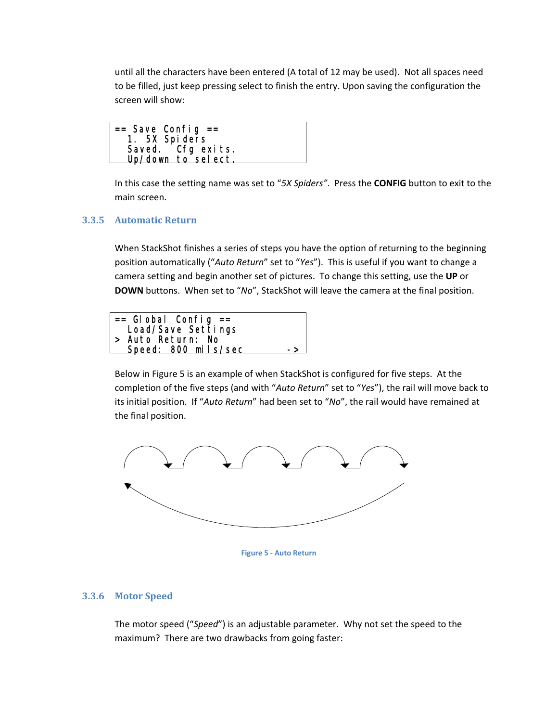<span id="page-9-0"></span>until all the characters have been entered (A total of 12 may be used). Not all spaces need to be filled, just keep pressing select to finish the entry. Upon saving the configuration the screen will show:

In this case the setting name was set to "*5X Spiders"*. Press the **CONFIG** button to exit to the main screen.

#### **3.3.5 Automatic Return**

When StackShot finishes a series of steps you have the option of returning to the beginning position automatically ("*Auto Return*" set to "*Yes*"). This is useful if you want to change a camera setting and begin another set of pictures. To change this setting, use the **UP** or **DOWN** buttons. When set to "*No*", StackShot will leave the camera at the final position.



Below in [Figure](#page-9-1) 5 is an example of when StackShot is configured for five steps. At the completion of the five steps (and with "*Auto Return*" set to "*Yes*"), the rail will move back to its initial position. If "*Auto Return*" had been set to "*No*", the rail would have remained at the final position.



**Figure 5 ‐ Auto Return**

#### <span id="page-9-1"></span>**3.3.6 Motor Speed**

The motor speed ("*Speed*") is an adjustable parameter. Why not set the speed to the maximum? There are two drawbacks from going faster: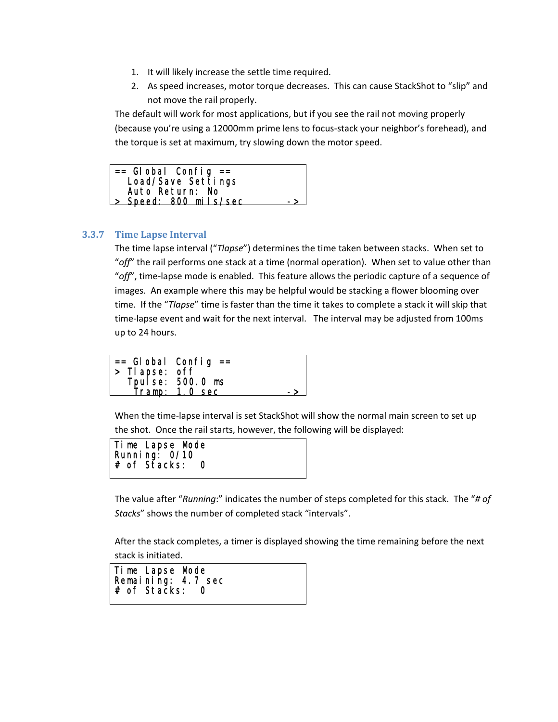- <span id="page-10-0"></span>1. It will likely increase the settle time required.
- 2. As speed increases, motor torque decreases. This can cause StackShot to "slip" and not move the rail properly.

The default will work for most applications, but if you see the rail not moving properly (because you're using a 12000mm prime lens to focus‐stack your neighbor's forehead), and the torque is set at maximum, try slowing down the motor speed.

| $  == $ Global Config $=$ |    |
|---------------------------|----|
| Load/Save Settings        |    |
| Auto Return: No           |    |
| > Speed: 800 mils/sec     | -> |

#### **3.3.7 Time Lapse Interval**

The time lapse interval ("*Tlapse*") determines the time taken between stacks. When set to "*off*" the rail performs one stack at a time (normal operation). When set to value other than "*off*", time‐lapse mode is enabled. This feature allows the periodic capture of a sequence of images. An example where this may be helpful would be stacking a flower blooming over time. If the "*Tlapse*" time is faster than the time it takes to complete a stack it will skip that time-lapse event and wait for the next interval. The interval may be adjusted from 100ms up to 24 hours.

|               | $==$ Global Config $==$            |  |
|---------------|------------------------------------|--|
| > Tlapse: off |                                    |  |
|               | Tpulse: 500.0 ms<br>Tramp: 1.0 sec |  |
|               |                                    |  |

When the time-lapse interval is set StackShot will show the normal main screen to set up the shot. Once the rail starts, however, the following will be displayed:

Time Lapse Mode Running: 0/10 # of Stacks: 0 l,

The value after "*Running*:" indicates the number of steps completed for this stack. The "*# of Stacks*" shows the number of completed stack "intervals".

After the stack completes, a timer is displayed showing the time remaining before the next stack is initiated.

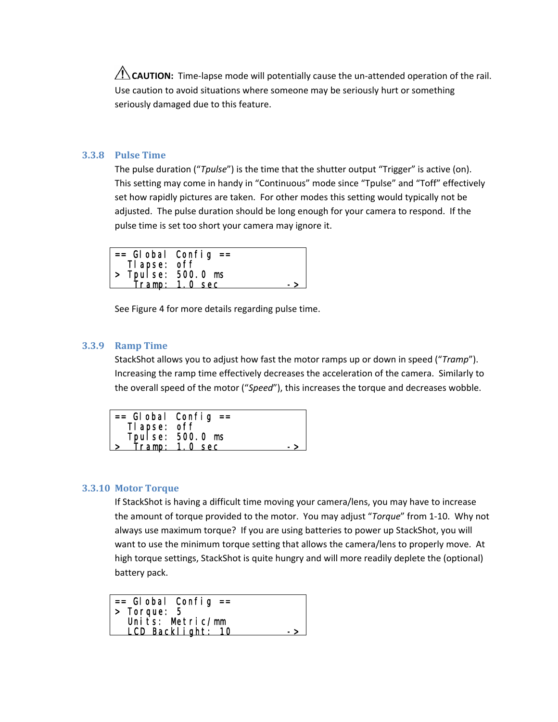<span id="page-11-0"></span>**CAUTION:** Time-lapse mode will potentially cause the un-attended operation of the rail. Use caution to avoid situations where someone may be seriously hurt or something seriously damaged due to this feature.

#### **3.3.8 Pulse Time**

The pulse duration ("*Tpulse*") is the time that the shutter output "Trigger" is active (on). This setting may come in handy in "Continuous" mode since "Tpulse" and "Toff" effectively set how rapidly pictures are taken. For other modes this setting would typically not be adjusted. The pulse duration should be long enough for your camera to respond. If the pulse time is set too short your camera may ignore it.

|                            | $=$ Global Config $=$ |               |
|----------------------------|-----------------------|---------------|
| Tl apse: off               |                       |               |
| $\vert$ > Tpulse: 500.0 ms |                       |               |
|                            | Tramp: 1.0 sec        | $\rightarrow$ |

See [Figure](#page-7-2) 4 for more details regarding pulse time.

#### **3.3.9 Ramp Time**

StackShot allows you to adjust how fast the motor ramps up or down in speed ("*Tramp*"). Increasing the ramp time effectively decreases the acceleration of the camera. Similarly to the overall speed of the motor ("*Speed*"), this increases the torque and decreases wobble.

|              | $==$ Global Config $==$             |  |
|--------------|-------------------------------------|--|
| Tl apse: off |                                     |  |
|              | Tpul se: 500.0 ms<br>Tramp: 1.0 sec |  |
|              |                                     |  |

#### **3.3.10 Motor Torque**

If StackShot is having a difficult time moving your camera/lens, you may have to increase the amount of torque provided to the motor. You may adjust "*Torque*" from 1‐10. Why not always use maximum torque? If you are using batteries to power up StackShot, you will want to use the minimum torque setting that allows the camera/lens to properly move. At high torque settings, StackShot is quite hungry and will more readily deplete the (optional) battery pack.

 $==$  Global Config  $==$ > Torque: 5 Units: Metric/mm LCD Backlight: 10 l,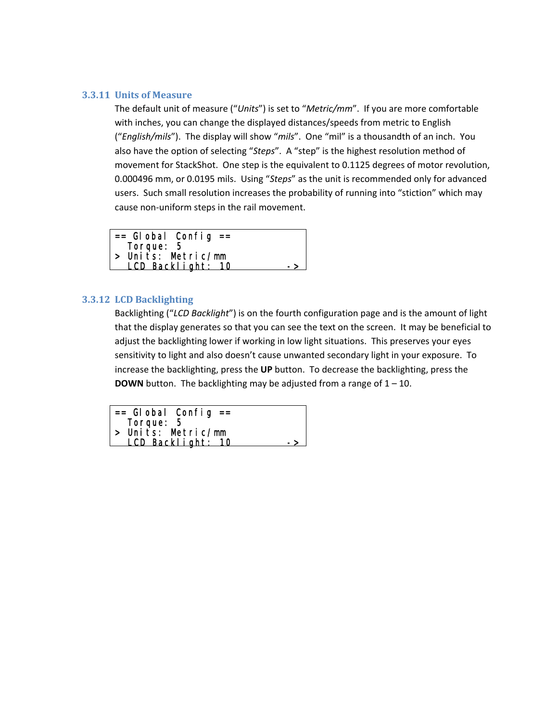#### <span id="page-12-0"></span>**3.3.11 Units of Measure**

The default unit of measure ("*Units*") is set to "*Metric/mm*". If you are more comfortable with inches, you can change the displayed distances/speeds from metric to English ("*English/mils*"). The display will show "*mils*". One "mil" is a thousandth of an inch. You also have the option of selecting "*Steps*". A "step" is the highest resolution method of movement for StackShot. One step is the equivalent to 0.1125 degrees of motor revolution, 0.000496 mm, or 0.0195 mils. Using "*Steps*" as the unit is recommended only for advanced users. Such small resolution increases the probability of running into "stiction" which may cause non‐uniform steps in the rail movement.

| $==$ Global Config $==$ |     |
|-------------------------|-----|
| Torque: 5               |     |
| > Units: Metric/mm      |     |
| LCD Backlight: 10       | - > |

#### **3.3.12 LCD Backlighting**

Backlighting ("*LCD Backlight*") is on the fourth configuration page and is the amount of light that the display generates so that you can see the text on the screen. It may be beneficial to adjust the backlighting lower if working in low light situations. This preserves your eyes sensitivity to light and also doesn't cause unwanted secondary light in your exposure. To increase the backlighting, press the **UP** button. To decrease the backlighting, press the **DOWN** button. The backlighting may be adjusted from a range of  $1 - 10$ .

| $=$ Global Config $=$ |  |
|-----------------------|--|
| Torque: 5             |  |
| > Units: Metric/mm    |  |
| LCD Backlight: 10     |  |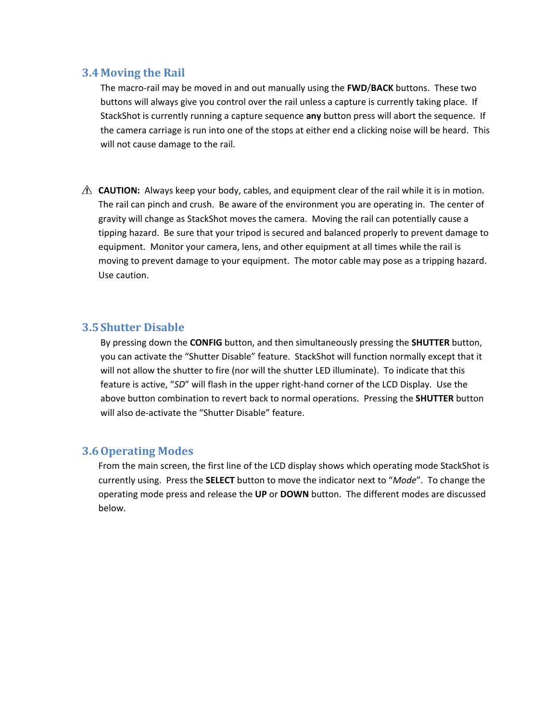#### <span id="page-13-0"></span>**3.4 Moving the Rail**

The macro‐rail may be moved in and out manually using the **FWD**/**BACK** buttons. These two buttons will always give you control over the rail unless a capture is currently taking place. If StackShot is currently running a capture sequence **any** button press will abort the sequence. If the camera carriage is run into one of the stops at either end a clicking noise will be heard. This will not cause damage to the rail.

**A CAUTION:** Always keep your body, cables, and equipment clear of the rail while it is in motion. The rail can pinch and crush. Be aware of the environment you are operating in. The center of gravity will change as StackShot moves the camera. Moving the rail can potentially cause a tipping hazard. Be sure that your tripod is secured and balanced properly to prevent damage to equipment. Monitor your camera, lens, and other equipment at all times while the rail is moving to prevent damage to your equipment. The motor cable may pose as a tripping hazard. Use caution.

#### **3.5Shutter Disable**

By pressing down the **CONFIG** button, and then simultaneously pressing the **SHUTTER** button, you can activate the "Shutter Disable" feature. StackShot will function normally except that it will not allow the shutter to fire (nor will the shutter LED illuminate). To indicate that this feature is active, "SD" will flash in the upper right-hand corner of the LCD Display. Use the above button combination to revert back to normal operations. Pressing the **SHUTTER** button will also de-activate the "Shutter Disable" feature.

#### **3.6Operating Modes**

From the main screen, the first line of the LCD display shows which operating mode StackShot is currently using. Press the **SELECT** button to move the indicator next to "*Mode*". To change the operating mode press and release the **UP** or **DOWN** button. The different modes are discussed below.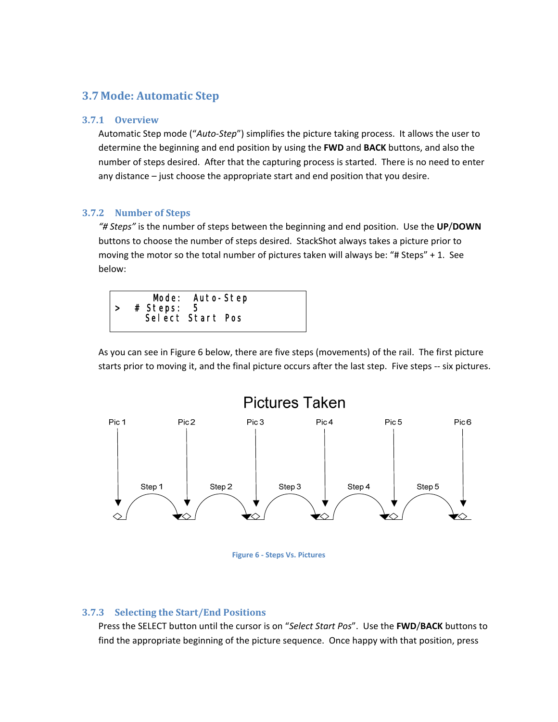### <span id="page-14-0"></span>**3.7 Mode: Automatic Step**

#### **3.7.1 Overview**

Automatic Step mode ("*Auto‐Step*") simplifies the picture taking process. It allows the user to determine the beginning and end position by using the **FWD** and **BACK** buttons, and also the number of steps desired. After that the capturing process is started. There is no need to enter any distance – just choose the appropriate start and end position that you desire.

#### **3.7.2 Number of Steps**

*"# Steps"* is the number of steps between the beginning and end position. Use the **UP**/**DOWN** buttons to choose the number of steps desired. StackShot always takes a picture prior to moving the motor so the total number of pictures taken will always be: "# Steps" + 1. See below:



As you can see in [Figure](#page-14-1) 6 below, there are five steps (movements) of the rail. The first picture starts prior to moving it, and the final picture occurs after the last step. Five steps -- six pictures.



**Figure 6 ‐ Steps Vs. Pictures**

#### <span id="page-14-1"></span>**3.7.3 Selecting the Start/End Positions**

Press the SELECT button until the cursor is on "*Select Start Pos*". Use the **FWD**/**BACK** buttons to find the appropriate beginning of the picture sequence. Once happy with that position, press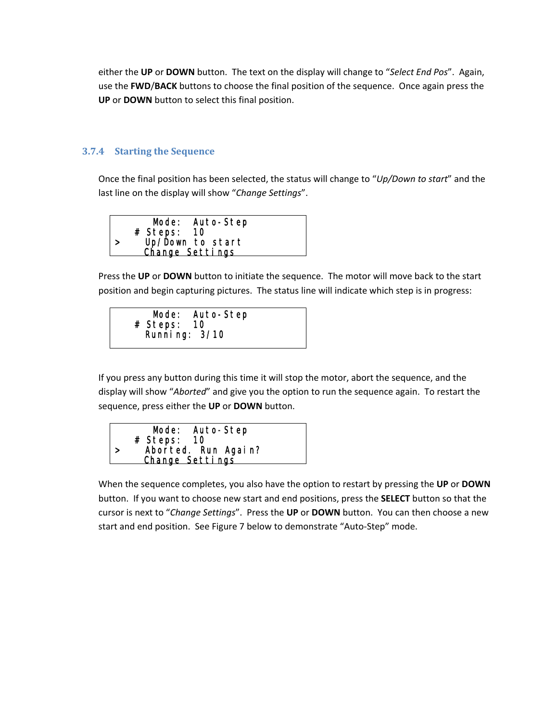<span id="page-15-0"></span>either the **UP** or **DOWN** button. The text on the display will change to "*Select End Pos*". Again, use the **FWD**/**BACK** buttons to choose the final position of the sequence. Once again press the **UP** or **DOWN** button to select this final position.

#### **3.7.4 Starting the Sequence**

l,

Once the final position has been selected, the status will change to "*Up/Down to start*" and the last line on the display will show "*Change Settings*".

| Mode: Auto-Step                     |  |
|-------------------------------------|--|
| # Steps: 10                         |  |
| Up/Down to start<br>Change Settings |  |
|                                     |  |
|                                     |  |

Press the **UP** or **DOWN** button to initiate the sequence. The motor will move back to the start position and begin capturing pictures. The status line will indicate which step is in progress:

|             | Mode: Auto-Step |  |
|-------------|-----------------|--|
| # Steps: 10 |                 |  |
|             | Running: 3/10   |  |
|             |                 |  |

If you press any button during this time it will stop the motor, abort the sequence, and the display will show "*Aborted*" and give you the option to run the sequence again. To restart the sequence, press either the **UP** or **DOWN** button.



When the sequence completes, you also have the option to restart by pressing the **UP** or **DOWN** button. If you want to choose new start and end positions, press the **SELECT** button so that the cursor is next to "*Change Settings*". Press the **UP** or **DOWN** button. You can then choose a new start and end position. See [Figure](#page-16-1) 7 below to demonstrate "Auto‐Step" mode.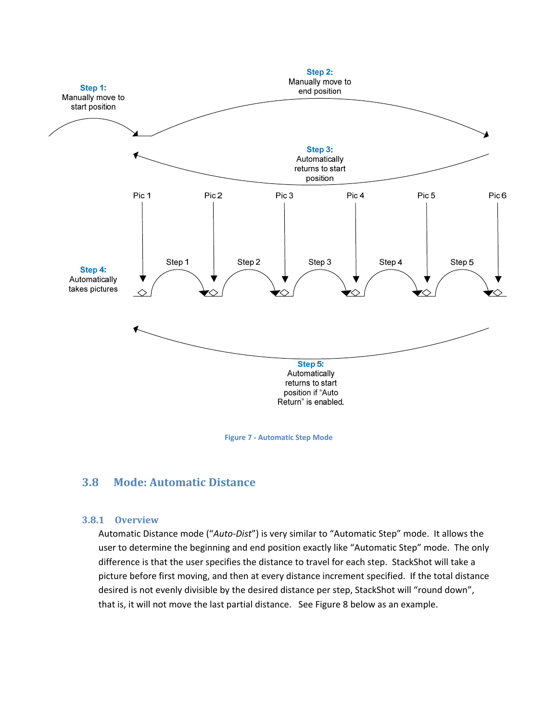<span id="page-16-0"></span>

#### **Figure 7 ‐ Automatic Step Mode**

#### <span id="page-16-1"></span>**3.8 Mode: Automatic Distance**

#### **3.8.1 Overview**

Automatic Distance mode ("*Auto‐Dist*") is very similar to "Automatic Step" mode. It allows the user to determine the beginning and end position exactly like "Automatic Step" mode. The only difference is that the user specifies the distance to travel for each step. StackShot will take a picture before first moving, and then at every distance increment specified. If the total distance desired is not evenly divisible by the desired distance per step, StackShot will "round down", that is, it will not move the last partial distance. See [Figure](#page-18-1) 8 below as an example.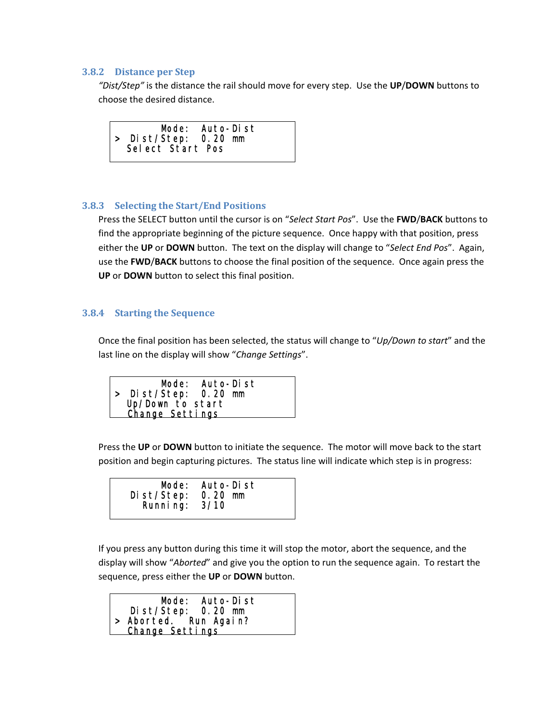#### <span id="page-17-0"></span>**3.8.2 Distance per Step**

*"Dist/Step"* is the distance the rail should move for every step. Use the **UP**/**DOWN** buttons to choose the desired distance.



#### **3.8.3 Selecting the Start/End Positions**

Press the SELECT button until the cursor is on "*Select Start Pos*". Use the **FWD**/**BACK** buttons to find the appropriate beginning of the picture sequence. Once happy with that position, press either the **UP** or **DOWN** button. The text on the display will change to "*Select End Pos*". Again, use the **FWD**/**BACK** buttons to choose the final position of the sequence. Once again press the **UP** or **DOWN** button to select this final position.

#### **3.8.4 Starting the Sequence**

Once the final position has been selected, the status will change to "*Up/Down to start*" and the last line on the display will show "*Change Settings*".

 Mode: Auto-Dist > Dist/Step: 0.20 mm Up/Down to start Change Settings

Press the **UP** or **DOWN** button to initiate the sequence. The motor will move back to the start position and begin capturing pictures. The status line will indicate which step is in progress:

| Mode: Auto-Dist<br>Dist/Step: 0.20 mm<br>Running: 3/10 |  |
|--------------------------------------------------------|--|
|--------------------------------------------------------|--|

If you press any button during this time it will stop the motor, abort the sequence, and the display will show "*Aborted*" and give you the option to run the sequence again. To restart the sequence, press either the **UP** or **DOWN** button.

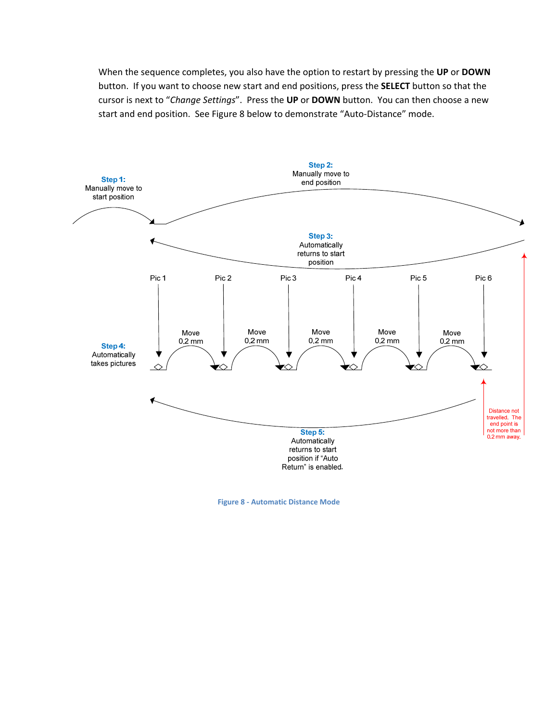<span id="page-18-0"></span>When the sequence completes, you also have the option to restart by pressing the **UP** or **DOWN** button. If you want to choose new start and end positions, press the **SELECT** button so that the cursor is next to "*Change Settings*". Press the **UP** or **DOWN** button. You can then choose a new start and end position. See [Figure](#page-18-1) 8 below to demonstrate "Auto‐Distance" mode.



<span id="page-18-1"></span>**Figure 8 ‐ Automatic Distance Mode**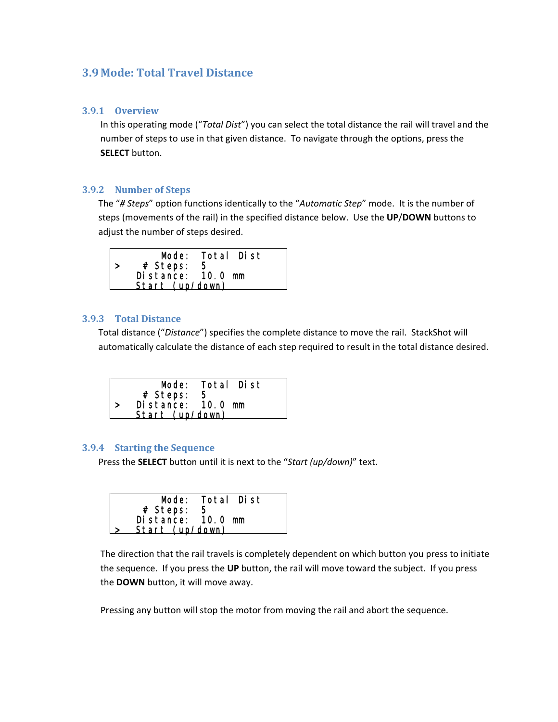### <span id="page-19-0"></span>**3.9 Mode: Total Travel Distance**

#### **3.9.1 Overview**

In this operating mode ("*Total Dist*") you can select the total distance the rail will travel and the number of steps to use in that given distance. To navigate through the options, press the **SELECT** button.

#### **3.9.2 Number of Steps**

The "*# Steps*" option functions identically to the "*Automatic Step*" mode. It is the number of steps (movements of the rail) in the specified distance below. Use the **UP**/**DOWN** buttons to adjust the number of steps desired.



#### **3.9.3 Total Distance**

Total distance ("*Distance*") specifies the complete distance to move the rail. StackShot will automatically calculate the distance of each step required to result in the total distance desired.



#### **3.9.4 Starting the Sequence**

Press the **SELECT** button until it is next to the "*Start (up/down)*" text.

|                   | Mode: Total Dist |
|-------------------|------------------|
| # Steps:<br>5     |                  |
| Distance: 10.0 mm |                  |
| Start (up/down)   |                  |

The direction that the rail travels is completely dependent on which button you press to initiate the sequence. If you press the **UP** button, the rail will move toward the subject. If you press the **DOWN** button, it will move away.

Pressing any button will stop the motor from moving the rail and abort the sequence.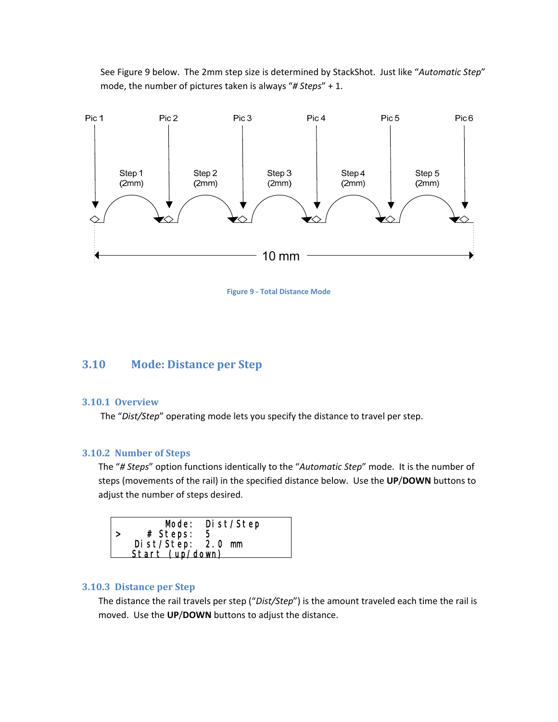<span id="page-20-0"></span>See [Figure](#page-20-1) 9 below. The 2mm step size is determined by StackShot. Just like "*Automatic Step*" mode, the number of pictures taken is always "*# Steps*" + 1.



**Figure 9 ‐ Total Distance Mode**

### <span id="page-20-1"></span>**3.10 Mode: Distance per Step**

#### **3.10.1 Overview**

The "*Dist/Step*" operating mode lets you specify the distance to travel per step.

#### **3.10.2 Number of Steps**

The "*# Steps*" option functions identically to the "*Automatic Step*" mode. It is the number of steps (movements of the rail) in the specified distance below. Use the **UP**/**DOWN** buttons to adjust the number of steps desired.



#### **3.10.3 Distance per Step**

The distance the rail travels per step ("*Dist/Step*") is the amount traveled each time the rail is moved. Use the **UP**/**DOWN** buttons to adjust the distance.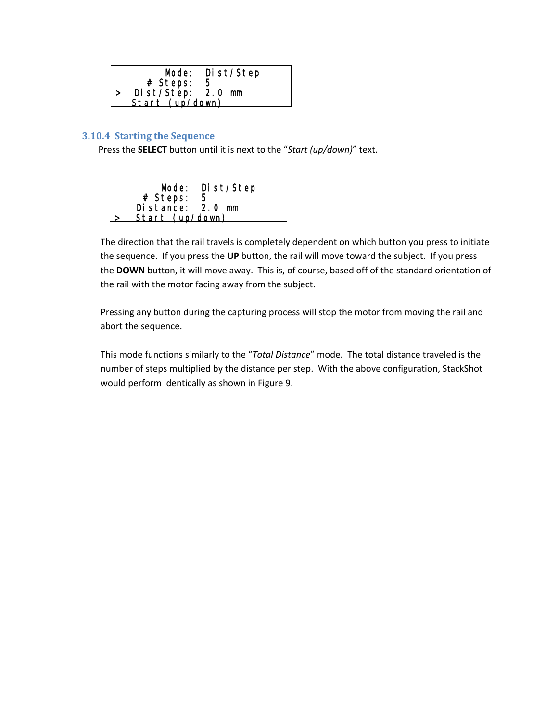<span id="page-21-0"></span>

|                   | Mode: Dist/Step |
|-------------------|-----------------|
| # Steps:          | -5              |
| Dist/Step: 2.0 mm |                 |
| Start (up/down)   |                 |

#### **3.10.4 Starting the Sequence**

Press the **SELECT** button until it is next to the "*Start (up/down)*" text.

|                  | Mode: Dist/Step |
|------------------|-----------------|
| # Steps:         | -5              |
| Distance: 2.0 mm |                 |
| Start (up/down)  |                 |

The direction that the rail travels is completely dependent on which button you press to initiate the sequence. If you press the **UP** button, the rail will move toward the subject. If you press the **DOWN** button, it will move away. This is, of course, based off of the standard orientation of the rail with the motor facing away from the subject.

Pressing any button during the capturing process will stop the motor from moving the rail and abort the sequence.

This mode functions similarly to the "*Total Distance*" mode. The total distance traveled is the number of steps multiplied by the distance per step. With the above configuration, StackShot would perform identically as shown in [Figure](#page-20-1) 9.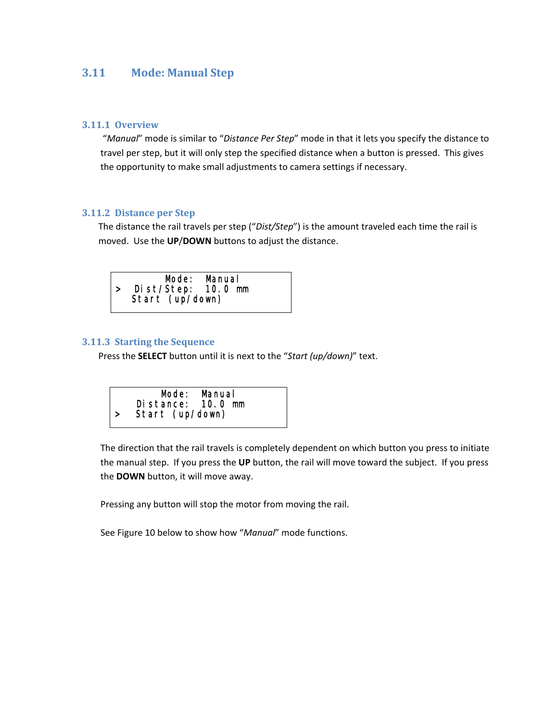### <span id="page-22-0"></span>**3.11 Mode: Manual Step**

#### **3.11.1 Overview**

"*Manual*" mode is similar to "*Distance Per Step*" mode in that it lets you specify the distance to travel per step, but it will only step the specified distance when a button is pressed. This gives the opportunity to make small adjustments to camera settings if necessary.

#### **3.11.2 Distance per Step**

The distance the rail travels per step ("*Dist/Step*") is the amount traveled each time the rail is moved. Use the **UP**/**DOWN** buttons to adjust the distance.



#### **3.11.3 Starting the Sequence**

Press the **SELECT** button until it is next to the "*Start (up/down)*" text.



The direction that the rail travels is completely dependent on which button you press to initiate the manual step. If you press the **UP** button, the rail will move toward the subject. If you press the **DOWN** button, it will move away.

Pressing any button will stop the motor from moving the rail.

See [Figure](#page-23-1) 10 below to show how "*Manual*" mode functions.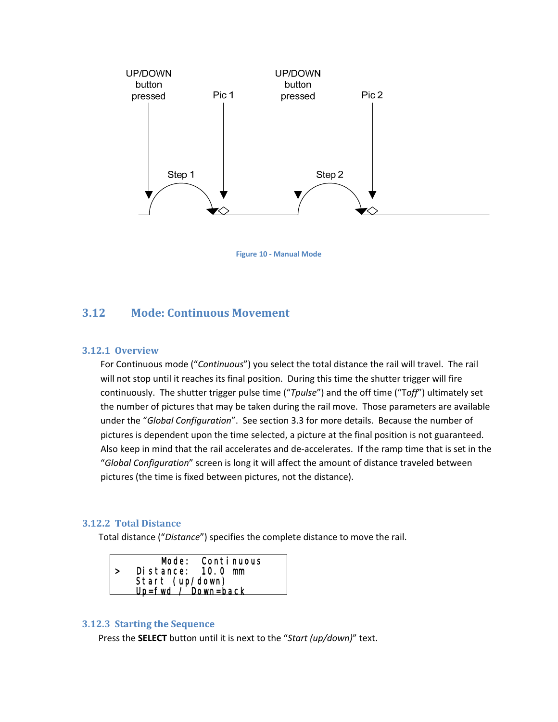<span id="page-23-0"></span>

**Figure 10 ‐ Manual Mode**

### <span id="page-23-1"></span>**3.12 Mode: Continuous Movement**

#### **3.12.1 Overview**

For Continuous mode ("*Continuous*") you select the total distance the rail will travel. The rail will not stop until it reaches its final position. During this time the shutter trigger will fire continuously. The shutter trigger pulse time ("*Tpulse*") and the off time ("T*off*") ultimately set the number of pictures that may be taken during the rail move. Those parameters are available under the "*Global Configuration*". See section [3.3](#page-6-2) for more details. Because the number of pictures is dependent upon the time selected, a picture at the final position is not guaranteed. Also keep in mind that the rail accelerates and de‐accelerates. If the ramp time that is set in the "*Global Configuration*" screen is long it will affect the amount of distance traveled between pictures (the time is fixed between pictures, not the distance).

#### **3.12.2 Total Distance**

Total distance ("*Distance*") specifies the complete distance to move the rail.

|                        | Mode: Continuous<br>Distance: 10.0 mm |  |
|------------------------|---------------------------------------|--|
|                        |                                       |  |
|                        | Start (up/down)                       |  |
|                        |                                       |  |
| $Up = fwd$ / Down=back |                                       |  |

#### **3.12.3 Starting the Sequence**

Press the **SELECT** button until it is next to the "*Start (up/down)*" text.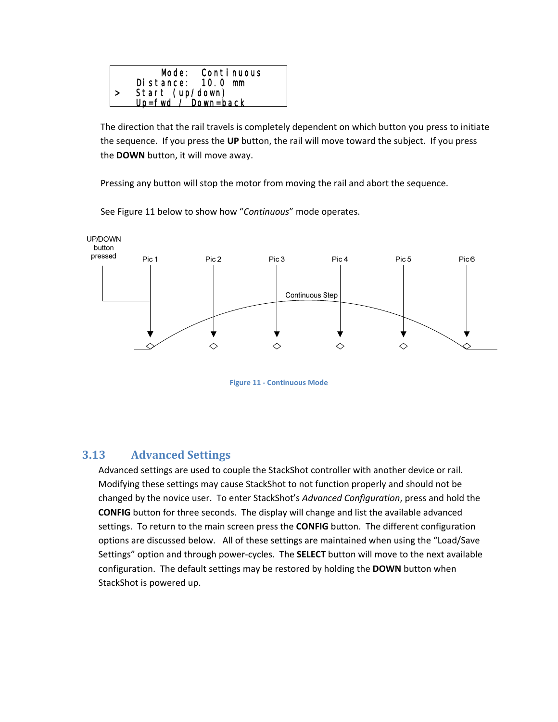<span id="page-24-0"></span>

The direction that the rail travels is completely dependent on which button you press to initiate the sequence. If you press the **UP** button, the rail will move toward the subject. If you press the **DOWN** button, it will move away.

Pressing any button will stop the motor from moving the rail and abort the sequence.



See [Figure](#page-24-1) 11 below to show how "*Continuous*" mode operates.

**Figure 11 ‐ Continuous Mode**

## <span id="page-24-1"></span>**3.13 Advanced Settings**

Advanced settings are used to couple the StackShot controller with another device or rail. Modifying these settings may cause StackShot to not function properly and should not be changed by the novice user. To enter StackShot's *Advanced Configuration*, press and hold the **CONFIG** button for three seconds. The display will change and list the available advanced settings. To return to the main screen press the **CONFIG** button. The different configuration options are discussed below. All of these settings are maintained when using the "Load/Save Settings" option and through power‐cycles. The **SELECT** button will move to the next available configuration. The default settings may be restored by holding the **DOWN** button when StackShot is powered up.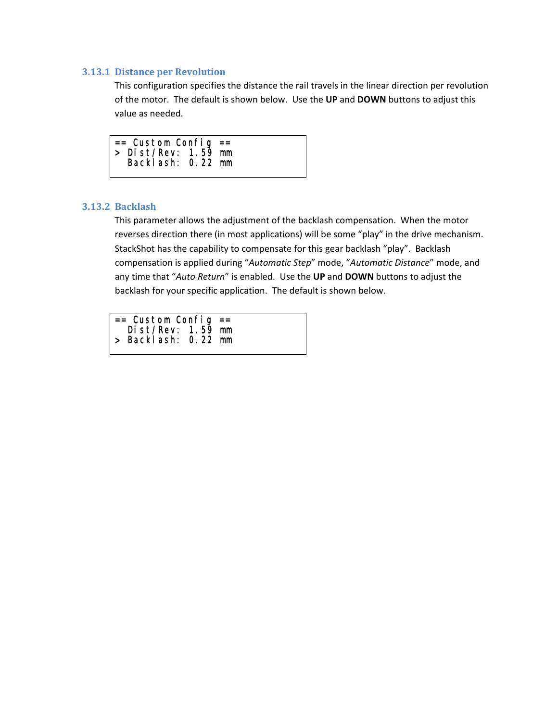#### <span id="page-25-0"></span>**3.13.1 Distance per Revolution**

This configuration specifies the distance the rail travels in the linear direction per revolution of the motor. The default is shown below. Use the **UP** and **DOWN** buttons to adjust this value as needed.

| $==$ Custom Config $==$ |  |
|-------------------------|--|
| $>$ Dist/Rev: 1.59 mm   |  |
| Backlash: 0.22 mm       |  |
|                         |  |

#### **3.13.2 Backlash**

This parameter allows the adjustment of the backlash compensation. When the motor reverses direction there (in most applications) will be some "play" in the drive mechanism. StackShot has the capability to compensate for this gear backlash "play". Backlash compensation is applied during "*Automatic Step*" mode, "*Automatic Distance*" mode, and any time that "*Auto Return*" is enabled. Use the **UP** and **DOWN** buttons to adjust the backlash for your specific application. The default is shown below.

| $==$ Custom Config $==$ |  |
|-------------------------|--|
| Dist/Rev: $1.59$ mm     |  |
| > Backlash: 0.22 mm     |  |
|                         |  |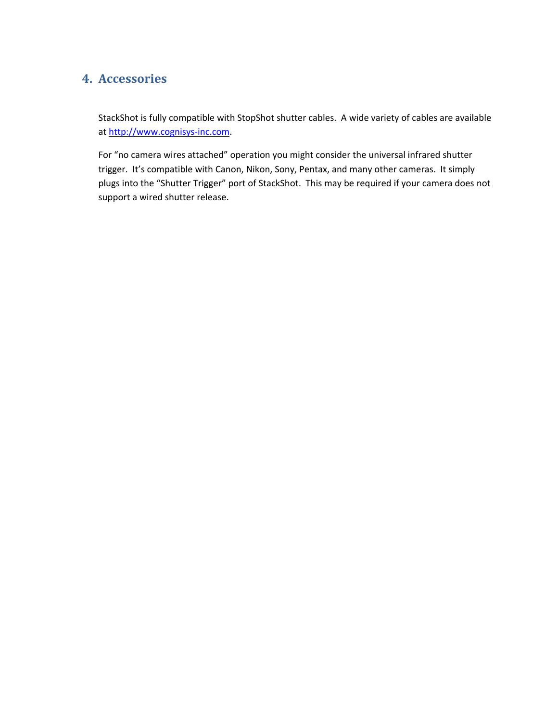## <span id="page-26-0"></span>**4. Accessories**

StackShot is fully compatible with StopShot shutter cables. A wide variety of cables are available at [http://www.cognisys](http://www.cognisys-inc.com/)‐inc.com.

For "no camera wires attached" operation you might consider the universal infrared shutter trigger. It's compatible with Canon, Nikon, Sony, Pentax, and many other cameras. It simply plugs into the "Shutter Trigger" port of StackShot. This may be required if your camera does not support a wired shutter release.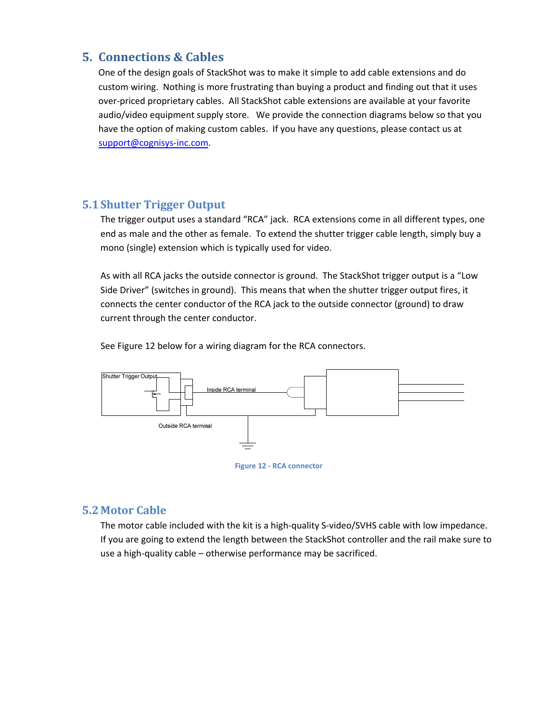## <span id="page-27-0"></span>**5. Connections & Cables**

One of the design goals of StackShot was to make it simple to add cable extensions and do custom wiring. Nothing is more frustrating than buying a product and finding out that it uses over-priced proprietary cables. All StackShot cable extensions are available at your favorite audio/video equipment supply store. We provide the connection diagrams below so that you have the option of making custom cables. If you have any questions, please contact us at [support@cognisys](mailto:support@cognisys-inc.com)‐inc.com.

## **5.1Shutter Trigger Output**

The trigger output uses a standard "RCA" jack. RCA extensions come in all different types, one end as male and the other as female. To extend the shutter trigger cable length, simply buy a mono (single) extension which is typically used for video.

As with all RCA jacks the outside connector is ground. The StackShot trigger output is a "Low Side Driver" (switches in ground). This means that when the shutter trigger output fires, it connects the center conductor of the RCA jack to the outside connector (ground) to draw current through the center conductor.

See [Figure](#page-27-1) 12 below for a wiring diagram for the RCA connectors.



#### <span id="page-27-1"></span>**5.2 Motor Cable**

The motor cable included with the kit is a high-quality S-video/SVHS cable with low impedance. If you are going to extend the length between the StackShot controller and the rail make sure to use a high‐quality cable – otherwise performance may be sacrificed.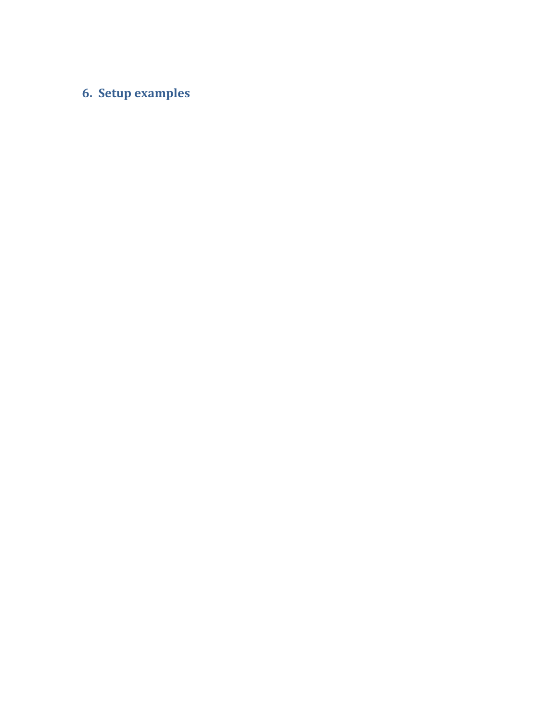## <span id="page-28-0"></span>**6. Setup examples**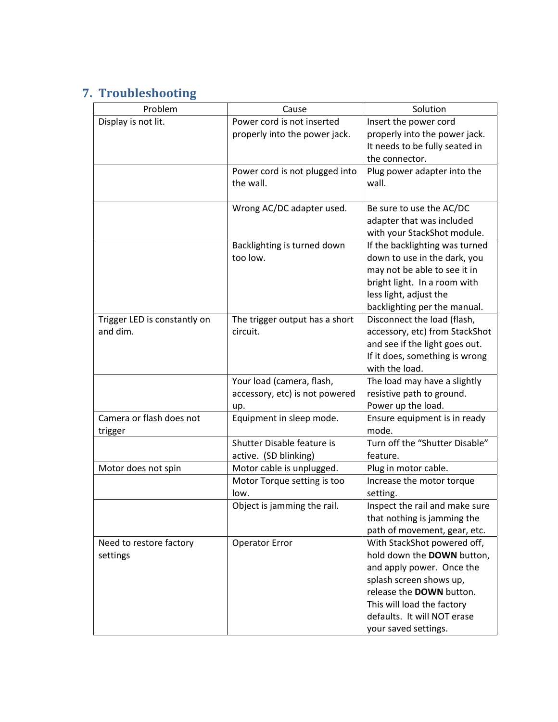## <span id="page-29-0"></span>**7. Troubleshooting**

| Problem                      | Cause                          | Solution                       |
|------------------------------|--------------------------------|--------------------------------|
| Display is not lit.          | Power cord is not inserted     | Insert the power cord          |
|                              | properly into the power jack.  | properly into the power jack.  |
|                              |                                | It needs to be fully seated in |
|                              |                                | the connector.                 |
|                              | Power cord is not plugged into | Plug power adapter into the    |
|                              | the wall.                      | wall.                          |
|                              |                                |                                |
|                              | Wrong AC/DC adapter used.      | Be sure to use the AC/DC       |
|                              |                                | adapter that was included      |
|                              |                                | with your StackShot module.    |
|                              | Backlighting is turned down    | If the backlighting was turned |
|                              | too low.                       | down to use in the dark, you   |
|                              |                                | may not be able to see it in   |
|                              |                                | bright light. In a room with   |
|                              |                                | less light, adjust the         |
|                              |                                | backlighting per the manual.   |
| Trigger LED is constantly on | The trigger output has a short | Disconnect the load (flash,    |
| and dim.                     | circuit.                       | accessory, etc) from StackShot |
|                              |                                | and see if the light goes out. |
|                              |                                | If it does, something is wrong |
|                              |                                | with the load.                 |
|                              | Your load (camera, flash,      | The load may have a slightly   |
|                              | accessory, etc) is not powered | resistive path to ground.      |
|                              | up.                            | Power up the load.             |
| Camera or flash does not     | Equipment in sleep mode.       | Ensure equipment is in ready   |
| trigger                      |                                | mode.                          |
|                              | Shutter Disable feature is     | Turn off the "Shutter Disable" |
|                              | active. (SD blinking)          | feature.                       |
| Motor does not spin          | Motor cable is unplugged.      | Plug in motor cable.           |
|                              | Motor Torque setting is too    | Increase the motor torque      |
|                              | low.                           | setting.                       |
|                              | Object is jamming the rail.    | Inspect the rail and make sure |
|                              |                                | that nothing is jamming the    |
|                              |                                | path of movement, gear, etc.   |
| Need to restore factory      | <b>Operator Error</b>          | With StackShot powered off,    |
| settings                     |                                | hold down the DOWN button,     |
|                              |                                | and apply power. Once the      |
|                              |                                | splash screen shows up,        |
|                              |                                | release the DOWN button.       |
|                              |                                | This will load the factory     |
|                              |                                | defaults. It will NOT erase    |
|                              |                                | your saved settings.           |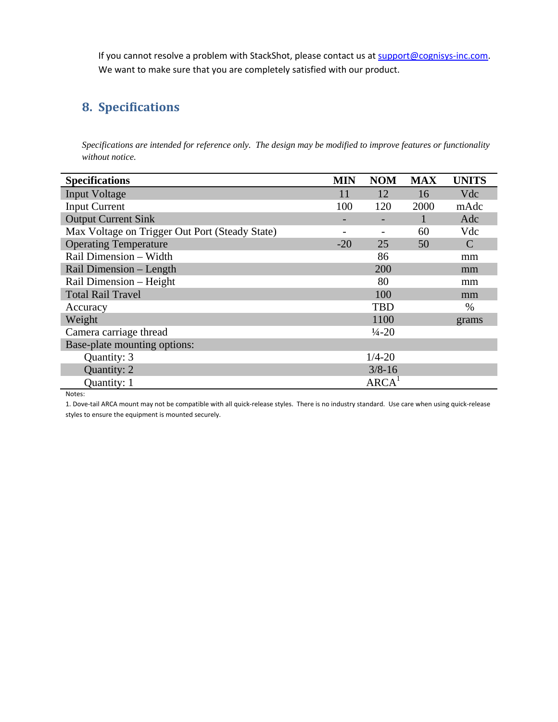<span id="page-30-0"></span>If you cannot resolve a problem with StackShot, please contact us at [support@cognisys](mailto:support@cognisys-inc.com)-inc.com. We want to make sure that you are completely satisfied with our product.

## **8. Specifications**

*Specifications are intended for reference only. The design may be modified to improve features or functionality without notice.* 

| <b>Specifications</b>                          | <b>MIN</b>               | <b>NOM</b>         | <b>MAX</b> | <b>UNITS</b>  |
|------------------------------------------------|--------------------------|--------------------|------------|---------------|
| <b>Input Voltage</b>                           | 11                       | 12                 | 16         | Vdc           |
| <b>Input Current</b>                           | 100                      | 120                | 2000       | mAdc          |
| <b>Output Current Sink</b>                     | $\overline{\phantom{0}}$ |                    |            | Adc           |
| Max Voltage on Trigger Out Port (Steady State) |                          |                    | 60         | Vdc           |
| <b>Operating Temperature</b>                   | $-20$                    | 25                 | 50         | $\mathcal{C}$ |
| Rail Dimension - Width                         |                          | 86                 |            | mm            |
| Rail Dimension – Length                        |                          | 200                |            | mm            |
| Rail Dimension - Height                        |                          | 80                 |            | mm            |
| <b>Total Rail Travel</b>                       |                          | 100                |            | mm            |
| Accuracy                                       |                          | <b>TBD</b>         |            | $\%$          |
| Weight                                         |                          | 1100               |            | grams         |
| Camera carriage thread                         |                          | $\frac{1}{4} - 20$ |            |               |
| Base-plate mounting options:                   |                          |                    |            |               |
| Quantity: 3                                    |                          | $1/4 - 20$         |            |               |
| Quantity: 2                                    |                          | $3/8 - 16$         |            |               |
| Quantity: 1                                    |                          | ARCA <sup>1</sup>  |            |               |

Notes:

1. Dove‐tail ARCA mount may not be compatible with all quick‐release styles. There is no industry standard. Use care when using quick‐release styles to ensure the equipment is mounted securely.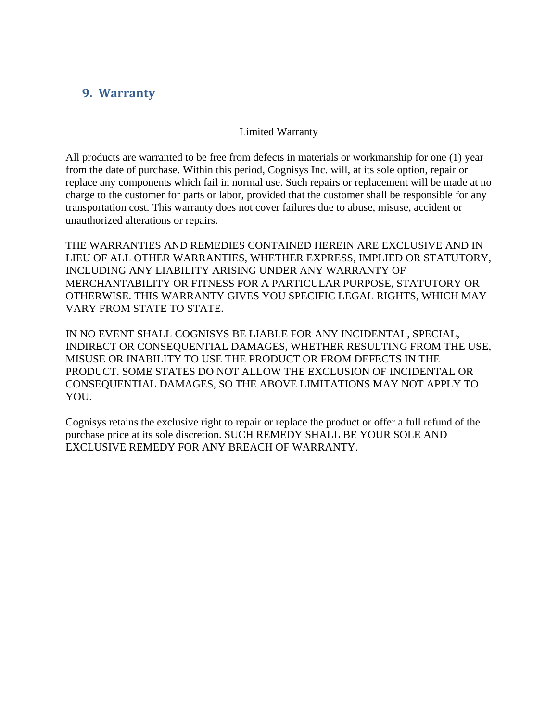## <span id="page-31-0"></span>**9. Warranty**

#### Limited Warranty

All products are warranted to be free from defects in materials or workmanship for one (1) year from the date of purchase. Within this period, Cognisys Inc. will, at its sole option, repair or replace any components which fail in normal use. Such repairs or replacement will be made at no charge to the customer for parts or labor, provided that the customer shall be responsible for any transportation cost. This warranty does not cover failures due to abuse, misuse, accident or unauthorized alterations or repairs.

THE WARRANTIES AND REMEDIES CONTAINED HEREIN ARE EXCLUSIVE AND IN LIEU OF ALL OTHER WARRANTIES, WHETHER EXPRESS, IMPLIED OR STATUTORY, INCLUDING ANY LIABILITY ARISING UNDER ANY WARRANTY OF MERCHANTABILITY OR FITNESS FOR A PARTICULAR PURPOSE, STATUTORY OR OTHERWISE. THIS WARRANTY GIVES YOU SPECIFIC LEGAL RIGHTS, WHICH MAY VARY FROM STATE TO STATE.

IN NO EVENT SHALL COGNISYS BE LIABLE FOR ANY INCIDENTAL, SPECIAL, INDIRECT OR CONSEQUENTIAL DAMAGES, WHETHER RESULTING FROM THE USE, MISUSE OR INABILITY TO USE THE PRODUCT OR FROM DEFECTS IN THE PRODUCT. SOME STATES DO NOT ALLOW THE EXCLUSION OF INCIDENTAL OR CONSEQUENTIAL DAMAGES, SO THE ABOVE LIMITATIONS MAY NOT APPLY TO YOU.

Cognisys retains the exclusive right to repair or replace the product or offer a full refund of the purchase price at its sole discretion. SUCH REMEDY SHALL BE YOUR SOLE AND EXCLUSIVE REMEDY FOR ANY BREACH OF WARRANTY.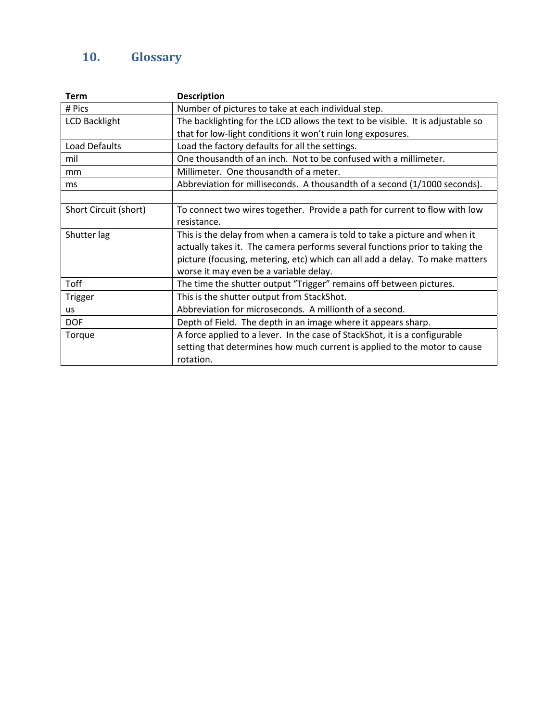## <span id="page-32-0"></span>**10. Glossary**

| Term                  | <b>Description</b>                                                              |  |  |
|-----------------------|---------------------------------------------------------------------------------|--|--|
| # Pics                | Number of pictures to take at each individual step.                             |  |  |
| <b>LCD Backlight</b>  | The backlighting for the LCD allows the text to be visible. It is adjustable so |  |  |
|                       | that for low-light conditions it won't ruin long exposures.                     |  |  |
| Load Defaults         | Load the factory defaults for all the settings.                                 |  |  |
| mil                   | One thousandth of an inch. Not to be confused with a millimeter.                |  |  |
| mm                    | Millimeter. One thousandth of a meter.                                          |  |  |
| ms                    | Abbreviation for milliseconds. A thousandth of a second (1/1000 seconds).       |  |  |
|                       |                                                                                 |  |  |
| Short Circuit (short) | To connect two wires together. Provide a path for current to flow with low      |  |  |
|                       | resistance.                                                                     |  |  |
| Shutter lag           | This is the delay from when a camera is told to take a picture and when it      |  |  |
|                       | actually takes it. The camera performs several functions prior to taking the    |  |  |
|                       | picture (focusing, metering, etc) which can all add a delay. To make matters    |  |  |
|                       | worse it may even be a variable delay.                                          |  |  |
| Toff                  | The time the shutter output "Trigger" remains off between pictures.             |  |  |
| <b>Trigger</b>        | This is the shutter output from StackShot.                                      |  |  |
| us                    | Abbreviation for microseconds. A millionth of a second.                         |  |  |
| <b>DOF</b>            | Depth of Field. The depth in an image where it appears sharp.                   |  |  |
| Torque                | A force applied to a lever. In the case of StackShot, it is a configurable      |  |  |
|                       | setting that determines how much current is applied to the motor to cause       |  |  |
|                       | rotation.                                                                       |  |  |